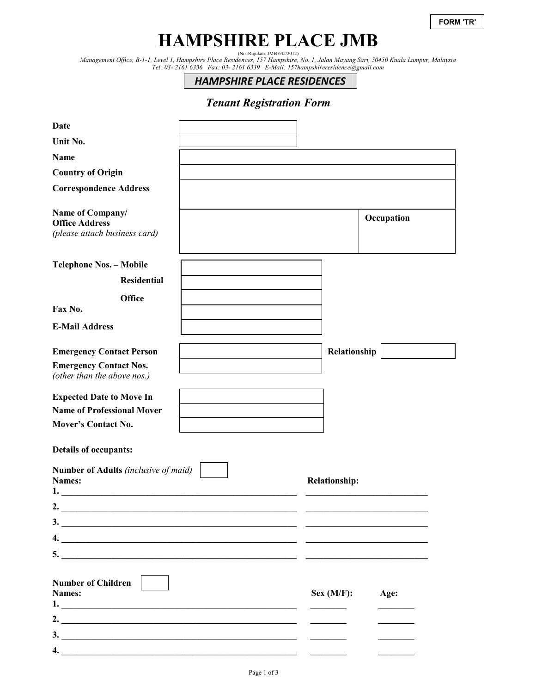# **HAMPSHIRE PLACE JMB**

(No. Rujukan: JMB 642/2012) *Management Office, B-1-1, Level 1, Hampshire Place Residences, 157 Hampshire, No. 1, Jalan Mayang Sari, 50450 Kuala Lumpur, Malaysia Tel: 03- 2161 6336 Fax: 03- 2161 6339 E-Mail: 157hampshireresidence@gmail.com* 

*HAMPSHIRE PLACE RESIDENCES*

## *Tenant Registration Form*

| <b>Date</b>                                                                |  |                      |            |  |
|----------------------------------------------------------------------------|--|----------------------|------------|--|
| Unit No.                                                                   |  |                      |            |  |
| Name                                                                       |  |                      |            |  |
| <b>Country of Origin</b>                                                   |  |                      |            |  |
| <b>Correspondence Address</b>                                              |  |                      |            |  |
| Name of Company/<br><b>Office Address</b><br>(please attach business card) |  |                      | Occupation |  |
| <b>Telephone Nos. - Mobile</b>                                             |  |                      |            |  |
| <b>Residential</b>                                                         |  |                      |            |  |
| <b>Office</b><br>Fax No.                                                   |  |                      |            |  |
| <b>E-Mail Address</b>                                                      |  |                      |            |  |
| <b>Emergency Contact Person</b>                                            |  | Relationship         |            |  |
| <b>Emergency Contact Nos.</b><br>(other than the above nos.)               |  |                      |            |  |
| <b>Expected Date to Move In</b>                                            |  |                      |            |  |
| <b>Name of Professional Mover</b>                                          |  |                      |            |  |
| <b>Mover's Contact No.</b>                                                 |  |                      |            |  |
| <b>Details of occupants:</b>                                               |  |                      |            |  |
| Number of Adults (inclusive of maid)<br>Names:<br>1.                       |  | <b>Relationship:</b> |            |  |
| 2.                                                                         |  |                      |            |  |
| $\overline{\mathbf{3.}}$                                                   |  |                      |            |  |
| 4. $\qquad \qquad$                                                         |  |                      |            |  |
|                                                                            |  |                      |            |  |
|                                                                            |  |                      |            |  |
| <b>Number of Children</b>                                                  |  |                      |            |  |
| Names:                                                                     |  | Sex (M/F):           | Age:       |  |
|                                                                            |  |                      |            |  |
| 2. $\overline{\phantom{a}}$                                                |  |                      |            |  |
| $\overline{\mathbf{3.}}$<br>4.                                             |  |                      |            |  |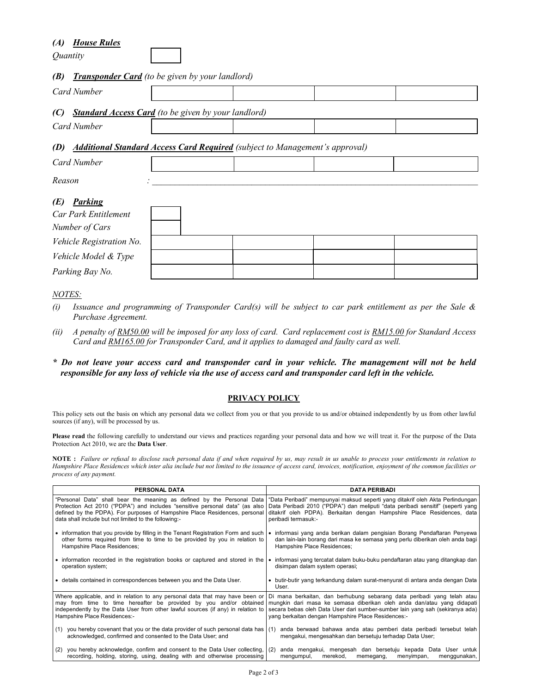### *(A) House Rules*

*Quantity* 

#### *(B) Transponder Card (to be given by your landlord)*

|                                                                                           | $\sum$ 11 ansponder can a few set given by your randomly   |  |  |  |  |
|-------------------------------------------------------------------------------------------|------------------------------------------------------------|--|--|--|--|
| <b>Card Number</b>                                                                        |                                                            |  |  |  |  |
| (C)                                                                                       | <b>Standard Access Card</b> (to be given by your landlord) |  |  |  |  |
| Card Number                                                                               |                                                            |  |  |  |  |
| <b>Additional Standard Access Card Required</b> (subject to Management's approval)<br>(D) |                                                            |  |  |  |  |
| Card Number                                                                               |                                                            |  |  |  |  |
| Reason                                                                                    |                                                            |  |  |  |  |
| <b>Parking</b><br>(E)<br>Car Park Entitlement<br>Number of Cars                           |                                                            |  |  |  |  |
| Vehicle Registration No.                                                                  |                                                            |  |  |  |  |
| Vehicle Model & Type                                                                      |                                                            |  |  |  |  |
| Parking Bay No.                                                                           |                                                            |  |  |  |  |

#### *NOTES:*

- *(i) Issuance and programming of Transponder Card(s) will be subject to car park entitlement as per the Sale & Purchase Agreement.*
- *(ii) A penalty of RM50.00 will be imposed for any loss of card. Card replacement cost is RM15.00 for Standard Access Card and RM165.00 for Transponder Card, and it applies to damaged and faulty card as well.*
- *\* Do not leave your access card and transponder card in your vehicle. The management will not be held responsible for any loss of vehicle via the use of access card and transponder card left in the vehicle.*

#### **PRIVACY POLICY**

This policy sets out the basis on which any personal data we collect from you or that you provide to us and/or obtained independently by us from other lawful sources (if any), will be processed by us.

Please read the following carefully to understand our views and practices regarding your personal data and how we will treat it. For the purpose of the Data Protection Act 2010, we are the **Data User**.

**NOTE :** *Failure or refusal to disclose such personal data if and when required by us, may result in us unable to process your entitlements in relation to Hampshire Place Residences which inter alia include but not limited to the issuance of access card, invoices, notification, enjoyment of the common facilities or process of any payment.* 

| PERSONAL DATA                                                                                                                                                | <b>DATA PERIBADI</b>                                                                                                                       |
|--------------------------------------------------------------------------------------------------------------------------------------------------------------|--------------------------------------------------------------------------------------------------------------------------------------------|
| "Personal Data" shall bear the meaning as defined by the Personal Data                                                                                       | "Data Peribadi" mempunyai maksud seperti yang ditakrif oleh Akta Perlindungan                                                              |
| Protection Act 2010 ("PDPA") and includes "sensitive personal data" (as also                                                                                 | Data Peribadi 2010 ("PDPA") dan meliputi "data peribadi sensitif" (seperti yang                                                            |
| defined by the PDPA). For purposes of Hampshire Place Residences, personal                                                                                   | ditakrif oleh PDPA). Berkaitan dengan Hampshire Place Residences, data                                                                     |
| data shall include but not limited to the following:-                                                                                                        | peribadi termasuk:-                                                                                                                        |
| • information that you provide by filling in the Tenant Registration Form and such                                                                           | informasi yang anda berikan dalam pengisian Borang Pendaftaran Penyewa                                                                     |
| other forms required from time to time to be provided by you in relation to                                                                                  | dan lain-lain borang dari masa ke semasa yang perlu diberikan oleh anda bagi                                                               |
| Hampshire Place Residences;                                                                                                                                  | Hampshire Place Residences;                                                                                                                |
| • information recorded in the registration books or captured and stored in the                                                                               | informasi yang tercatat dalam buku-buku pendaftaran atau yang ditangkap dan                                                                |
| operation system;                                                                                                                                            | disimpan dalam system operasi;                                                                                                             |
| • details contained in correspondences between you and the Data User.                                                                                        | • butir-butir yang terkandung dalam surat-menyurat di antara anda dengan Data<br>User.                                                     |
| Where applicable, and in relation to any personal data that may have been or                                                                                 | Di mana berkaitan, dan berhubung sebarang data peribadi yang telah atau                                                                    |
| may from time to time hereafter be provided by you and/or obtained                                                                                           | mungkin dari masa ke semasa diberikan oleh anda dan/atau yang didapati                                                                     |
| independently by the Data User from other lawful sources (if any) in relation to                                                                             | secara bebas oleh Data User dari sumber-sumber lain yang sah (sekiranya ada)                                                               |
| Hampshire Place Residences:-                                                                                                                                 | yang berkaitan dengan Hampshire Place Residences:-                                                                                         |
| (1) you hereby covenant that you or the data provider of such personal data has<br>acknowledged, confirmed and consented to the Data User; and               | anda berwaad bahawa anda atau pemberi data peribadi tersebut telah<br>(1)<br>mengakui, mengesahkan dan bersetuju terhadap Data User;       |
| you hereby acknowledge, confirm and consent to the Data User collecting,<br>(2)<br>recording, holding, storing, using, dealing with and otherwise processing | anda mengakui, mengesah dan bersetuju kepada Data User untuk<br>l (2)<br>mengumpul,<br>merekod,<br>menggunakan,<br>memegang,<br>menyimpan, |